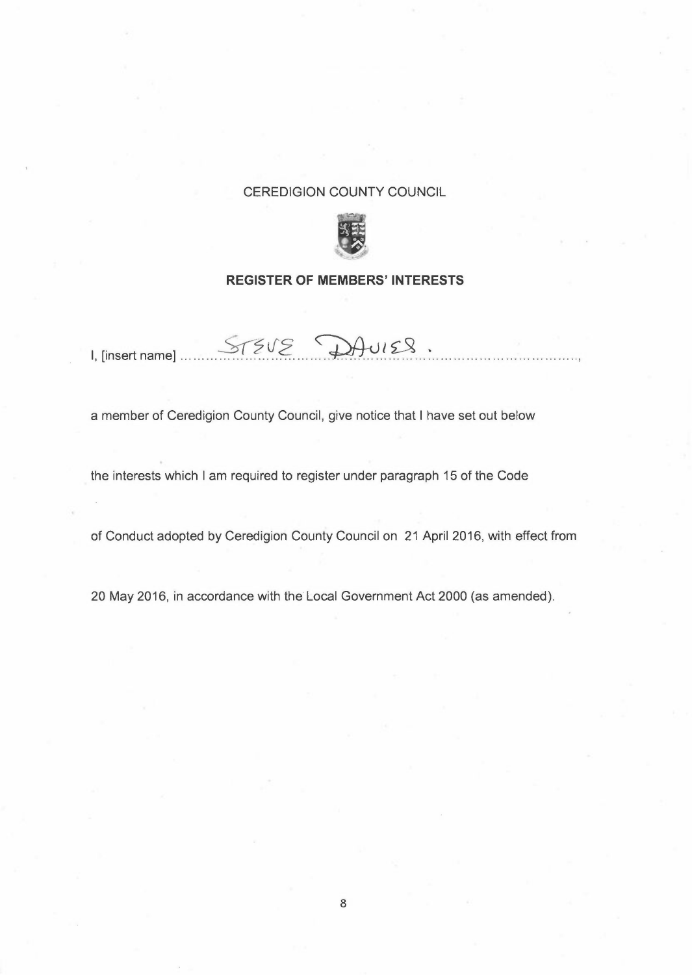## CEREDIGION COUNTY COUNCIL



## **REGISTER OF MEMBERS' INTERESTS**

 $I,$  [insert name]  $S75V2$   $D4V128$ .

a member of Ceredigion County Council, give notice that I have set out below

the interests which I am required to register under paragraph 15 of the Code

of Conduct adopted by Ceredigion County Council on 21 April 2016, with effect from

20 May 2016, in accordance with the Local Government Act 2000 (as amended).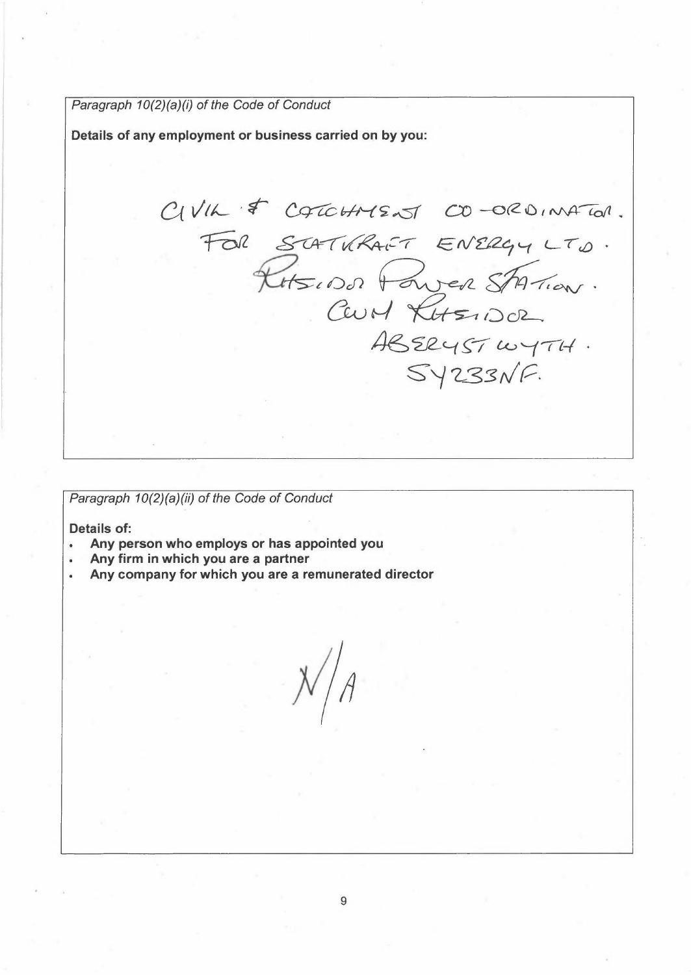*Paragraph 10(2)(a)(i) of the Code of Conduct* 

**Details of any employment or business carried on by you:** 

 $C_VVIL \approx C4TCHMSATCO-0~RONATO1$ .  $Falx \quad \textit{SCHT}lRAT-FALG, \quad \textit{ENERG}, \quad \textit{LTO} \cdot \textit{C}$ F COTOHNENT CO-ORDINATOR<br>SCATURANT ENERGY LTD.<br>RHSIDD FOWER STATION. CHMENT CO-ORDINA<br>TURANT ENERGY LT.<br>OOD POWER SATION *46 '212-'-( ~-;- L<-> '--(-rt-1*   $Syz33NF.$ 

*Paragraph 10(2)(a)(ii) of the Code of Conduct* 

**Details of:** 

- **Any person who employs or has appointed you**
- **Any firm in which you are a partner**
- **Any company for which you are a remunerated director**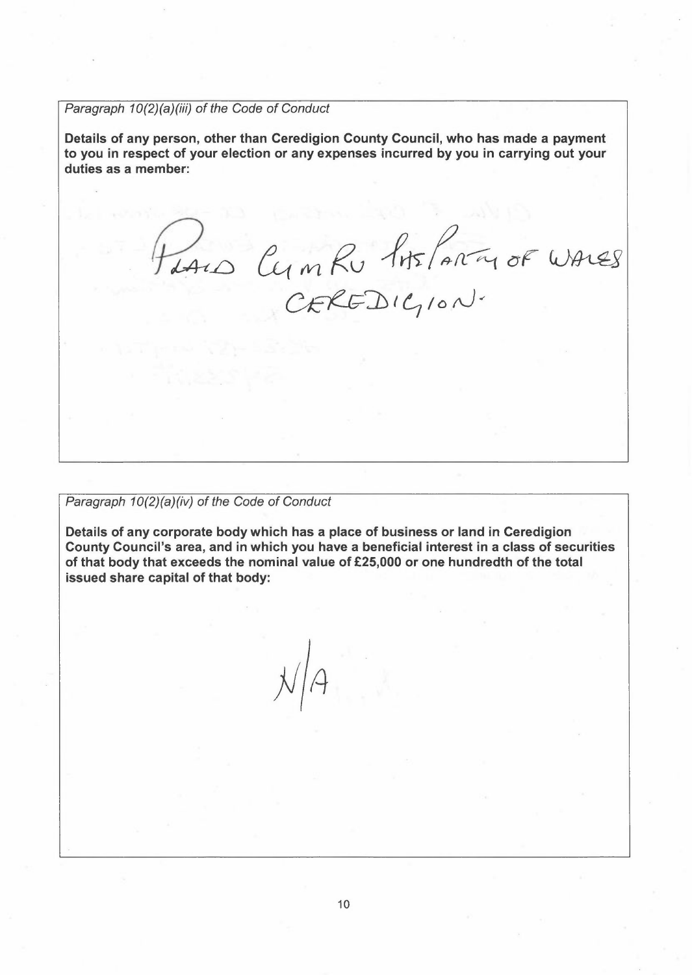*Paragraph 10(2)(a)(iii) of the Code of Conduct* 

Details of any person, other than Ceredigion County Council, who has made a payment to you in respect of your election or any expenses incurred by you in carrying out your duties as a member:

 $P_{\text{data}}$   $\alpha_{\text{max}}$   $\beta_{\text{max}}$   $\beta_{\text{max}}$  $1mRv$   $1mF/mm$ 

*Paragraph 10(2)(a)(iv) of the Code of Conduct* 

Details of any corporate body which has a place of business or land in Ceredigion County Council's area, and in which you have a beneficial interest in a class of securities of that body that exceeds the nominal value of £25,000 or one hundredth of the total issued share capital of that body:

 $\frac{1}{2}$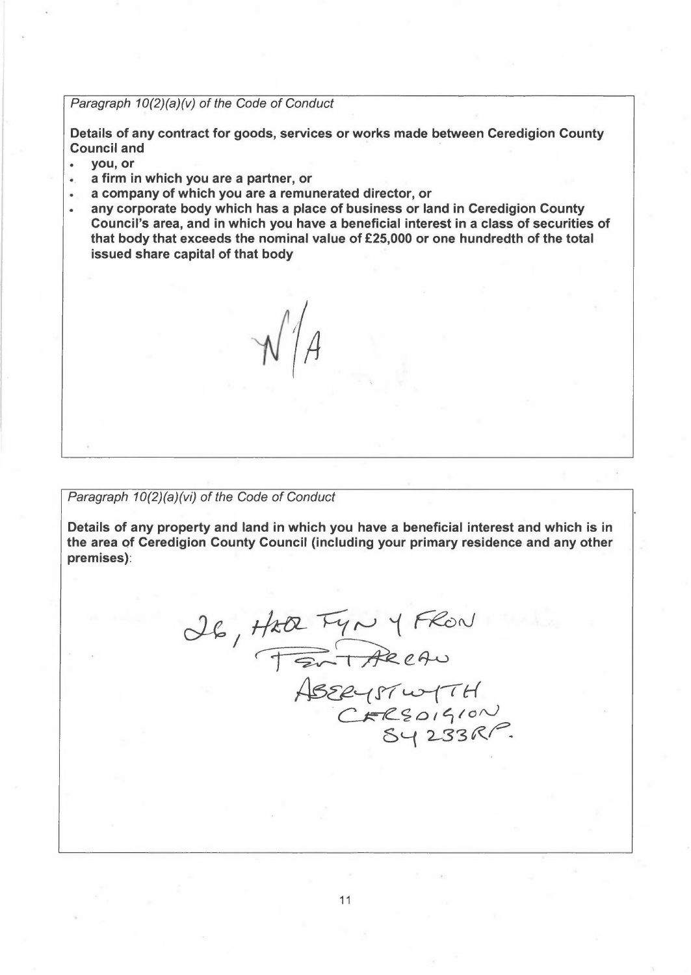*Paragraph 10(2)(a)(v) of the Code of Conduct* 

Details of any contract for goods, services or works made between Ceredigion County **Council and** 

- you, or
- a firm in which you are a partner, or
- a company of which you are a remunerated director, or
- any corporate body which has a place of business or land in Ceredigion County Council's area, and in which you have a beneficial interest in a class of securities of that body that exceeds the nominal value of £25,000 or one hundredth of the total issued share capital of that body

 $\mathcal{N}/\mathcal{A}$ 

*Paragraph 10(2)(a)(vi) of the Code of Conduct* 

Details of any property and land in which you have a beneficial interest and which is in the area of Ceredigion County Council (including your primary residence and any other premises):

26, Hta Fyn y FRON  $H$   $+H$   $\sqrt{12V}$   $+H$   $\sqrt{12V}$  $ABEey57w+TH$ FARCAN<br>SEYSTWTTH<br>CERSOISION<br>SY 233RP.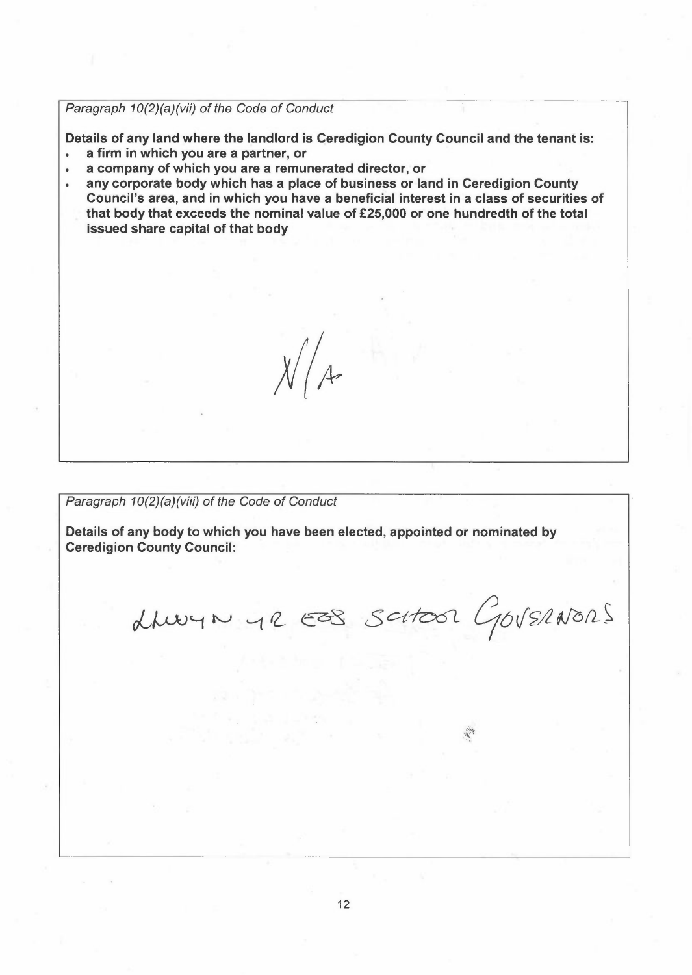*Paragraph 10(2)(a)(vii) of the Code of Conduct* 

Details of any land where the landlord is Ceredigion County Council and the tenant is:

- a firm in which you are a partner, or
- a company of which you are a remunerated director, or  $\bullet$
- any corporate body which has a place of business or land in Ceredigion County Council's area, and in which you have a beneficial interest in a class of securities of that body that exceeds the nominal value of £25,000 or one hundredth of the total issued share capital of that body

*Paragraph 10(2)(a)(viii) of the Code of Conduct* 

Details of any body to which you have been elected, appointed or nominated by Ceredigion County Council:

 $X/4$ 

drug N 42 ESS SCHOOL GOVERNORS

美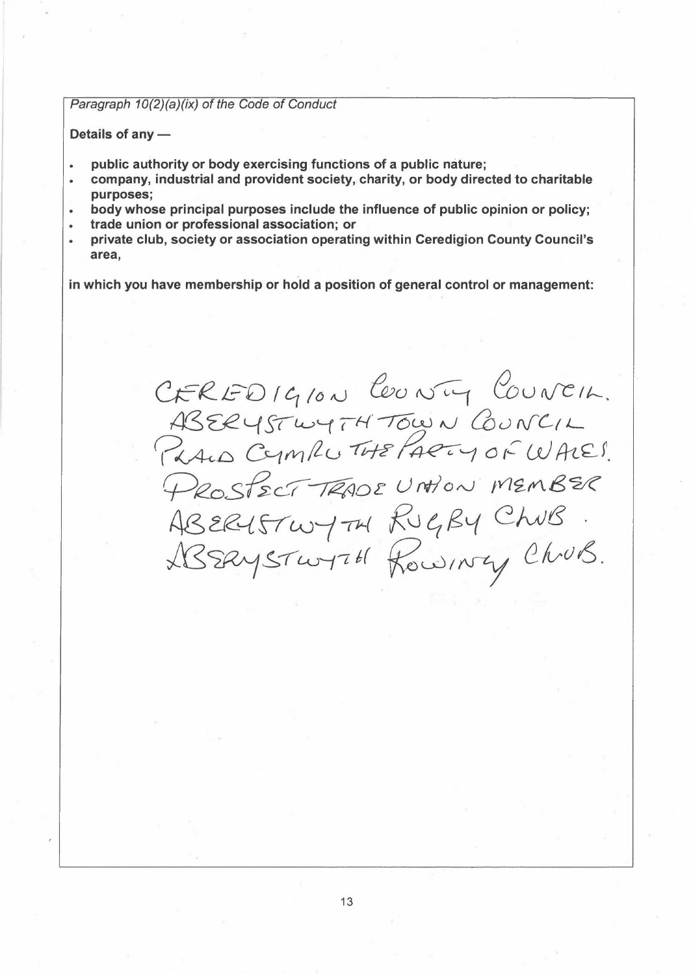## *Paragraph 10(2)(a)(ix) of the Code of Conduct*

Details of any -

- **public authority or body exercising functions of a public nature;**   $\bullet$
- **company, industrial and provident society, charity, or body directed to charitable purposes;**
- **body whose principal purposes include the influence of public opinion or policy;**
- **trade union or professional association; or**
- **private club, society or association operating within Ceredigion County Council's area,**

**in which you have membership or hold a position of general control or management:** 

*C,£-R...1=-U f* 0 */ó* ,u *&o~ &u ifC 11---.*  ABERYSTWYTH TOWN COUNCIL<br>PRALO CYMPLU THE PARTY OF WALE! CEREDIGION COUNTY COUNCIL.<br>ASERYSTWYTH TOWN COUNCIL<br>PRAID CYMPLUTHE PARTY OF WALES. PROSPECT TRADE UNTION MEMBER Ns *~o..{* TT w--j ,;,..{ *R0* 4 /?, *'--f C)vJ f3 ./':@, ~ !:, "( 4J-f t 6(* fl, uc) *I rvty (}\_ /vrJ* Ó .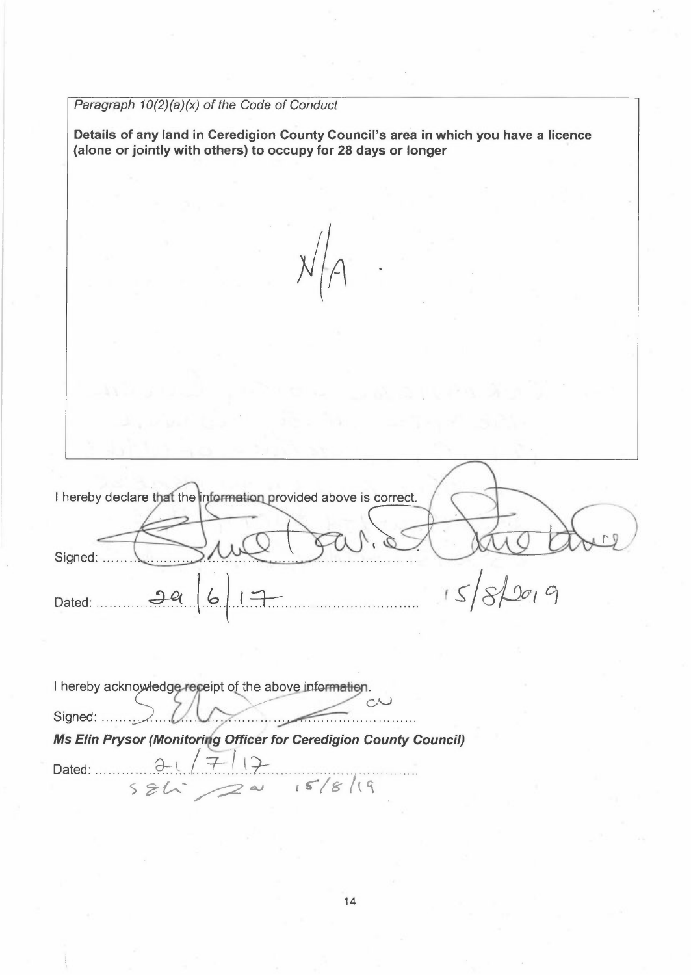*Paragraph 10(2)(a)(x) of the Code of Conduct*  **Details of any land in Ceredigion County Council's area in which you have a licence (alone or jointly with others) to occupy for 28 days or longer**  I hereby declare that the information provided above is correct. Signed: .... Dated: 2*a* 6 <del>1</del>  $20,9$ % and thereby acknowledge receipt of the above information.<br>
Signed:<br> **Ms Elin Prysor (Monitoring Officer for Ceredigion County Council) Sor (Monitoring Officer for Ceredigion Co.**<br>3 = 1 = 2 = 15 /8 /19 Dated: ~:(./.T.:J.\.~ .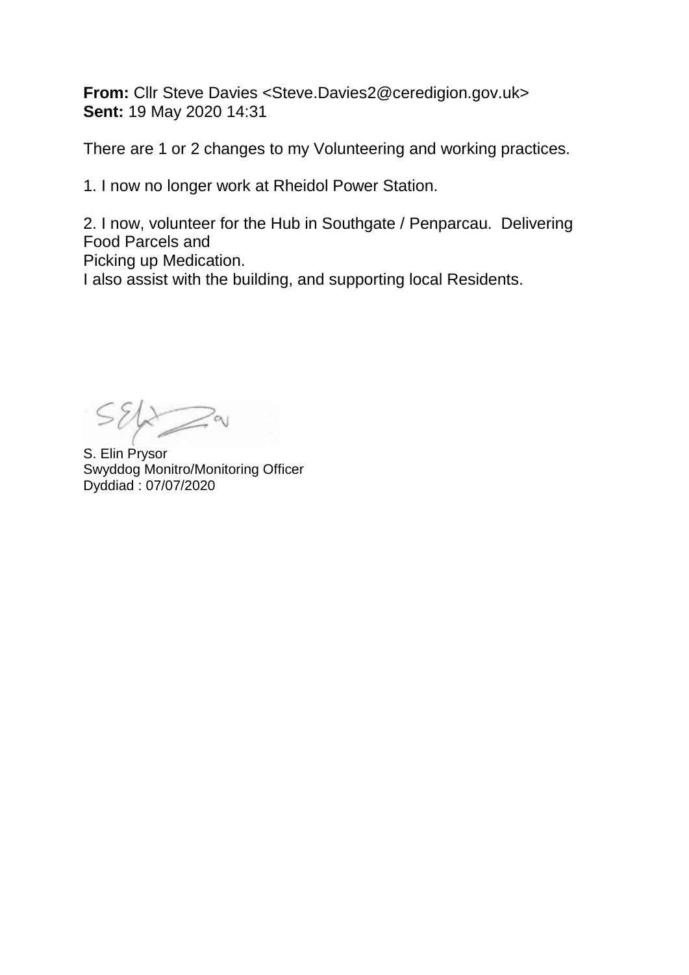**From:** Cllr Steve Davies <Steve.Davies2@ceredigion.gov.uk> **Sent:** 19 May 2020 14:31

There are 1 or 2 changes to my Volunteering and working practices.

1. I now no longer work at Rheidol Power Station.

2. I now, volunteer for the Hub in Southgate / Penparcau. Delivering Food Parcels and Picking up Medication. I also assist with the building, and supporting local Residents.

 $Sék$ 

S. Elin Prysor Swyddog Monitro/Monitoring Officer Dyddiad : 07/07/2020